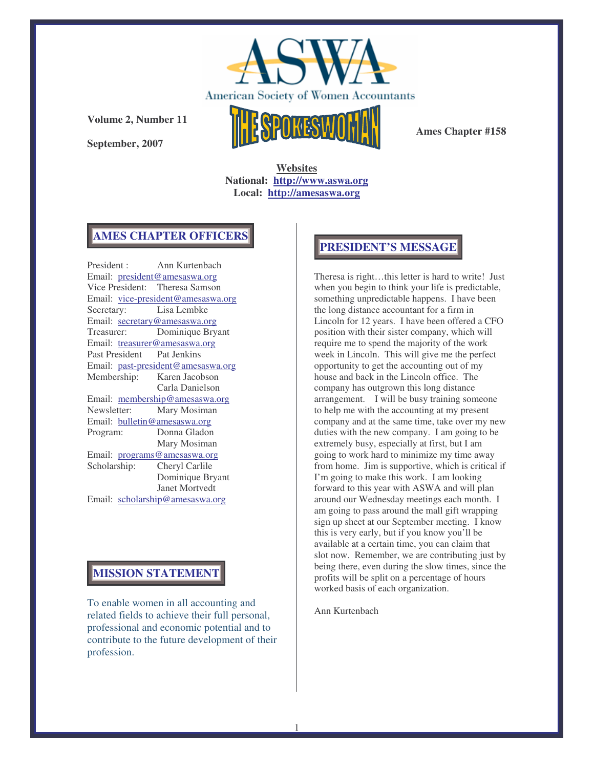

**September, 2007**



**Ames Chapter #158**

**Websites National: http://www.aswa.org Local: http://amesaswa.org**

### **AMES CHAPTER OFFICERS**

President : Ann Kurtenbach Email: president@amesaswa.org Vice President: Theresa Samson Email: vice-president@amesaswa.org Secretary: Lisa Lembke Email: secretary@amesaswa.org Treasurer: Dominique Bryant Email: treasurer@amesaswa.org Past President Pat Jenkins Email: past-president@amesaswa.org Membership: Karen Jacobson Carla Danielson Email: membership@amesaswa.org<br>Newsletter: Mary Mosiman Mary Mosiman Email: bulletin@amesaswa.org Program: Donna Gladon Mary Mosiman Email: programs@amesaswa.org Scholarship: Cheryl Carlile Dominique Bryant Janet Mortvedt Email: scholarship@amesaswa.org

## **MISSION STATEMENT**

To enable women in all accounting and related fields to achieve their full personal, professional and economic potential and to contribute to the future development of their profession.

## **PRESIDENT'S MESSAGE**

Theresa is right…this letter is hard to write! Just when you begin to think your life is predictable, something unpredictable happens. I have been the long distance accountant for a firm in Lincoln for 12 years. I have been offered a CFO position with their sister company, which will require me to spend the majority of the work week in Lincoln. This will give me the perfect opportunity to get the accounting out of my house and back in the Lincoln office. The company has outgrown this long distance arrangement. I will be busy training someone to help me with the accounting at my present company and at the same time, take over my new duties with the new company. I am going to be extremely busy, especially at first, but I am going to work hard to minimize my time away from home. Jim is supportive, which is critical if I'm going to make this work. I am looking forward to this year with ASWA and will plan around our Wednesday meetings each month. I am going to pass around the mall gift wrapping sign up sheet at our September meeting. I know this is very early, but if you know you'll be available at a certain time, you can claim that slot now. Remember, we are contributing just by being there, even during the slow times, since the profits will be split on a percentage of hours worked basis of each organization.

Ann Kurtenbach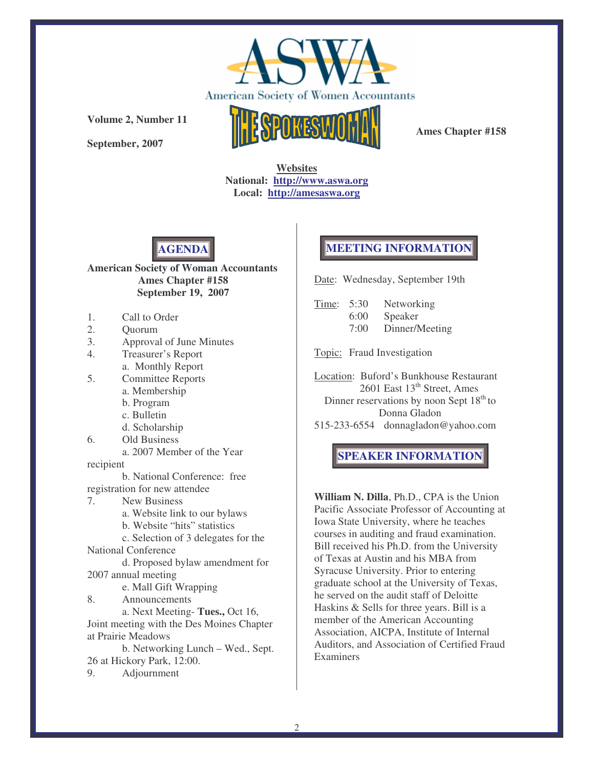

**September, 2007**



**Ames Chapter #158**

**Websites National: http://www.aswa.org Local: http://amesaswa.org**



#### **American Society of Woman Accountants Ames Chapter #158 September 19, 2007**

- 1. Call to Order
- 2. Quorum
- 3. Approval of June Minutes
- 4. Treasurer's Report a. Monthly Report
- 5. Committee Reports
	- a. Membership
	- b. Program
	- c. Bulletin
	- d. Scholarship
- 6. Old Business
	- a. 2007 Member of the Year

recipient

b. National Conference: free registration for new attendee

7. New Business

a. Website link to our bylaws

b. Website "hits" statistics

c. Selection of 3 delegates for the National Conference

d. Proposed bylaw amendment for

2007 annual meeting

e. Mall Gift Wrapping 8. Announcements

a. Next Meeting- **Tues.,** Oct 16, Joint meeting with the Des Moines Chapter at Prairie Meadows

b. Networking Lunch – Wed., Sept. 26 at Hickory Park, 12:00.

9. Adjournment

# **MEETING INFORMATION**

Date: Wednesday, September 19th

| Time: 5:30 |      | Networking     |
|------------|------|----------------|
|            | 6:00 | Speaker        |
|            | 7:00 | Dinner/Meeting |

Topic: Fraud Investigation

Location: Buford's Bunkhouse Restaurant 2601 East 13<sup>th</sup> Street, Ames Dinner reservations by noon Sept 18<sup>th</sup> to Donna Gladon

515-233-6554 donnagladon@yahoo.com

## **SPEAKER INFORMATION**

**William N. Dilla**, Ph.D., CPA is the Union Pacific Associate Professor of Accounting at Iowa State University, where he teaches courses in auditing and fraud examination. Bill received his Ph.D. from the University of Texas at Austin and his MBA from Syracuse University. Prior to entering graduate school at the University of Texas, he served on the audit staff of Deloitte Haskins & Sells for three years. Bill is a member of the American Accounting Association, AICPA, Institute of Internal Auditors, and Association of Certified Fraud Examiners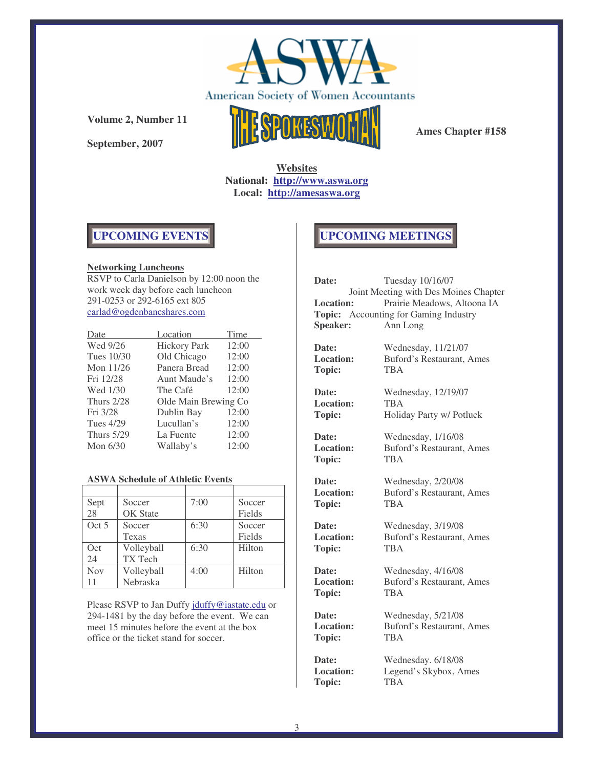

**September, 2007**



**Ames Chapter #158**

**Websites National: http://www.aswa.org Local: http://amesaswa.org**

# **UPCOMING EVENTS**

#### **Networking Luncheons**

RSVP to Carla Danielson by 12:00 noon the work week day before each luncheon 291-0253 or 292-6165 ext 805 carlad@ogdenbancshares.com

| Date              | Location             | Time  |
|-------------------|----------------------|-------|
| Wed 9/26          | <b>Hickory Park</b>  | 12:00 |
| Tues 10/30        | Old Chicago          | 12:00 |
| Mon 11/26         | Panera Bread         | 12:00 |
| Fri 12/28         | Aunt Maude's         | 12:00 |
| Wed 1/30          | The Café             | 12:00 |
| <b>Thurs 2/28</b> | Olde Main Brewing Co |       |
| Fri 3/28          | Dublin Bay           | 12:00 |
| Tues 4/29         | Lucullan's           | 12:00 |
| <b>Thurs 5/29</b> | La Fuente            | 12:00 |
| Mon $6/30$        | Wallaby's            | 12:00 |

#### **ASWA Schedule of Athletic Events**

| Sept       | Soccer          | 7:00 | Soccer |
|------------|-----------------|------|--------|
| 28         | <b>OK</b> State |      | Fields |
| Oct 5      | Soccer          | 6:30 | Soccer |
|            | Texas           |      | Fields |
| Oct        | Volleyball      | 6:30 | Hilton |
| 24         | TX Tech         |      |        |
| <b>Nov</b> | Volleyball      | 4:00 | Hilton |
| 11         | Nebraska        |      |        |

Please RSVP to Jan Duffy jduffy@iastate.edu or 294-1481 by the day before the event. We can meet 15 minutes before the event at the box office or the ticket stand for soccer.

# **UPCOMING MEETINGS**

| Date:            | Tuesday 10/16/07                      |
|------------------|---------------------------------------|
|                  | Joint Meeting with Des Moines Chapter |
| <b>Location:</b> | Prairie Meadows, Altoona IA           |
|                  | Topic: Accounting for Gaming Industry |
| <b>Speaker:</b>  | Ann Long                              |
|                  |                                       |
| Date:            | Wednesday, 11/21/07                   |
| <b>Location:</b> | Buford's Restaurant, Ames             |
| <b>Topic:</b>    | TB A                                  |
|                  |                                       |
| Date:            | Wednesday, 12/19/07                   |
| <b>Location:</b> | <b>TBA</b>                            |
| <b>Topic:</b>    | Holiday Party w/ Potluck              |
|                  |                                       |
| Date:            | Wednesday, 1/16/08                    |
| <b>Location:</b> | Buford's Restaurant, Ames             |
|                  | <b>TBA</b>                            |
| <b>Topic:</b>    |                                       |
| Date:            | Wednesday, 2/20/08                    |
| <b>Location:</b> | Buford's Restaurant, Ames             |
| Topic:           | <b>TBA</b>                            |
|                  |                                       |
| Date:            | Wednesday, 3/19/08                    |
| <b>Location:</b> | Buford's Restaurant, Ames             |
|                  | <b>TBA</b>                            |
| Topic:           |                                       |
| Date:            | Wednesday, 4/16/08                    |
| <b>Location:</b> | Buford's Restaurant, Ames             |
|                  | <b>TBA</b>                            |
| Topic:           |                                       |
| Date:            | Wednesday, 5/21/08                    |
| <b>Location:</b> | Buford's Restaurant, Ames             |
| <b>Topic:</b>    | <b>TBA</b>                            |
|                  |                                       |
| Date:            | Wednesday. 6/18/08                    |
| <b>Location:</b> | Legend's Skybox, Ames                 |
| <b>Topic:</b>    | <b>TBA</b>                            |
|                  |                                       |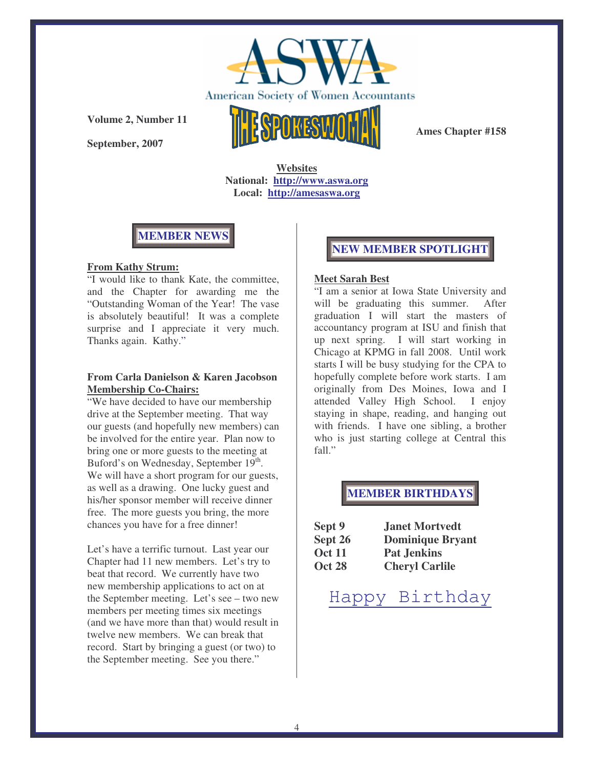

**September, 2007**



**Ames Chapter #158**

**Websites National: http://www.aswa.org Local: http://amesaswa.org**



### **From Kathy Strum:**

"I would like to thank Kate, the committee, and the Chapter for awarding me the "Outstanding Woman of the Year! The vase is absolutely beautiful! It was a complete surprise and I appreciate it very much. Thanks again. Kathy."

### **From Carla Danielson & Karen Jacobson Membership Co-Chairs:**

"We have decided to have our membership drive at the September meeting. That way our guests (and hopefully new members) can be involved for the entire year. Plan now to bring one or more guests to the meeting at Buford's on Wednesday, September 19th. We will have a short program for our guests, as well as a drawing. One lucky guest and his/her sponsor member will receive dinner free. The more guests you bring, the more chances you have for a free dinner!

Let's have a terrific turnout. Last year our Chapter had 11 new members. Let's try to beat that record. We currently have two new membership applications to act on at the September meeting. Let's see – two new members per meeting times six meetings (and we have more than that) would result in twelve new members. We can break that record. Start by bringing a guest (or two) to the September meeting. See you there."

## **NEW MEMBER SPOTLIGHT**

#### **Meet Sarah Best**

"I am a senior at Iowa State University and will be graduating this summer. After graduation I will start the masters of accountancy program at ISU and finish that up next spring. I will start working in Chicago at KPMG in fall 2008. Until work starts I will be busy studying for the CPA to hopefully complete before work starts. I am originally from Des Moines, Iowa and I attended Valley High School. I enjoy staying in shape, reading, and hanging out with friends. I have one sibling, a brother who is just starting college at Central this fall."

## **MEMBER BIRTHDAYS**

| Sept 9        | <b>Janet Mortvedt</b>   |
|---------------|-------------------------|
| Sept 26       | <b>Dominique Bryant</b> |
| <b>Oct 11</b> | <b>Pat Jenkins</b>      |
| <b>Oct 28</b> | <b>Cheryl Carlile</b>   |

# Happy Birthday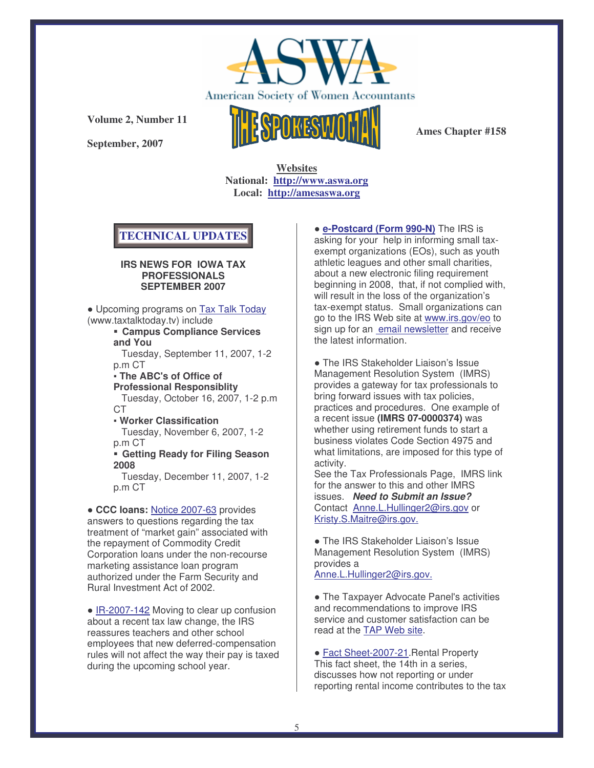

**September, 2007**



**Ames Chapter #158**

**Websites National: http://www.aswa.org Local: http://amesaswa.org**

# **TECHNICAL UPDATES**

#### **IRS NEWS FOR IOWA TAX PROFESSIONALS SEPTEMBER 2007**

 Upcoming programs on Tax Talk Today (www.taxtalktoday.tv) include

 **Campus Compliance Services and You**

Tuesday, September 11, 2007, 1-2 p.m CT

- **The ABC's of Office of Professional Responsiblity** Tuesday, October 16, 2007, 1-2 p.m CT

- **Worker Classification** Tuesday, November 6, 2007, 1-2 p.m CT

 **Getting Ready for Filing Season 2008**

Tuesday, December 11, 2007, 1-2 p.m CT

 **CCC loans:** Notice 2007-63 provides answers to questions regarding the tax treatment of "market gain" associated with the repayment of Commodity Credit Corporation loans under the non-recourse marketing assistance loan program authorized under the Farm Security and Rural Investment Act of 2002.

• IR-2007-142 Moving to clear up confusion about a recent tax law change, the IRS reassures teachers and other school employees that new deferred-compensation rules will not affect the way their pay is taxed during the upcoming school year.

 **e-Postcard (Form 990-N)** The IRS is asking for your help in informing small taxexempt organizations (EOs), such as youth athletic leagues and other small charities, about a new electronic filing requirement beginning in 2008, that, if not complied with, will result in the loss of the organization's tax-exempt status. Small organizations can go to the IRS Web site at www.irs.gov/eo to sign up for an email newsletter and receive the latest information.

• The IRS Stakeholder Liaison's Issue Management Resolution System (IMRS) provides a gateway for tax professionals to bring forward issues with tax policies, practices and procedures. One example of a recent issue **(IMRS 07-0000374)** was whether using retirement funds to start a business violates Code Section 4975 and what limitations, are imposed for this type of activity.

See the Tax Professionals Page, IMRS link for the answer to this and other IMRS issues. *Need to Submit an Issue?* Contact Anne.L.Hullinger2@irs.gov or Kristy.S.Maitre@irs.gov.

• The IRS Stakeholder Liaison's Issue Management Resolution System (IMRS) provides a Anne.L.Hullinger2@irs.gov.

 The Taxpayer Advocate Panel's activities and recommendations to improve IRS service and customer satisfaction can be read at the TAP Web site.

 Fact Sheet-2007-21.Rental Property This fact sheet, the 14th in a series, discusses how not reporting or under reporting rental income contributes to the tax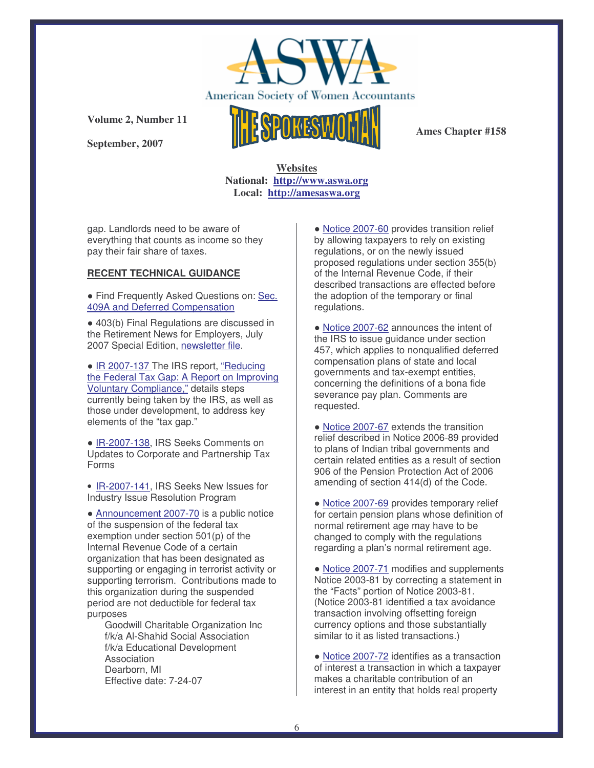

**September, 2007**



**Ames Chapter #158**

**Websites National: http://www.aswa.org Local: http://amesaswa.org**

gap. Landlords need to be aware of everything that counts as income so they pay their fair share of taxes.

#### **RECENT TECHNICAL GUIDANCE**

 Find Frequently Asked Questions on: Sec. 409A and Deferred Compensation

 403(b) Final Regulations are discussed in the Retirement News for Employers, July 2007 Special Edition, newsletter file.

• IR 2007-137 The IRS report, "Reducing the Federal Tax Gap: A Report on Improving Voluntary Compliance," details steps currently being taken by the IRS, as well as those under development, to address key elements of the "tax gap."

 IR-2007-138, IRS Seeks Comments on Updates to Corporate and Partnership Tax Forms

• IR-2007-141, IRS Seeks New Issues for Industry Issue Resolution Program

 Announcement 2007-70 is a public notice of the suspension of the federal tax exemption under section 501(p) of the Internal Revenue Code of a certain organization that has been designated as supporting or engaging in terrorist activity or supporting terrorism. Contributions made to this organization during the suspended period are not deductible for federal tax purposes

Goodwill Charitable Organization Inc f/k/a Al-Shahid Social Association f/k/a Educational Development Association Dearborn, MI Effective date: 7-24-07

 Notice 2007-60 provides transition relief by allowing taxpayers to rely on existing regulations, or on the newly issued proposed regulations under section 355(b) of the Internal Revenue Code, if their described transactions are effected before the adoption of the temporary or final regulations.

 Notice 2007-62 announces the intent of the IRS to issue guidance under section 457, which applies to nonqualified deferred compensation plans of state and local governments and tax-exempt entities, concerning the definitions of a bona fide severance pay plan. Comments are requested.

• Notice 2007-67 extends the transition relief described in Notice 2006-89 provided to plans of Indian tribal governments and certain related entities as a result of section 906 of the Pension Protection Act of 2006 amending of section 414(d) of the Code.

 Notice 2007-69 provides temporary relief for certain pension plans whose definition of normal retirement age may have to be changed to comply with the regulations regarding a plan's normal retirement age.

 Notice 2007-71 modifies and supplements Notice 2003-81 by correcting a statement in the "Facts" portion of Notice 2003-81. (Notice 2003-81 identified a tax avoidance transaction involving offsetting foreign currency options and those substantially similar to it as listed transactions.)

 Notice 2007-72 identifies as a transaction of interest a transaction in which a taxpayer makes a charitable contribution of an interest in an entity that holds real property